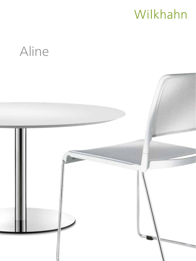## Wilkhahn

## Aline

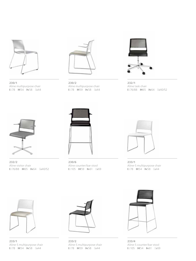

**230/1** Aline multipurpose chair **E**78 **H**54 **H**58 **H**44



**230/2** Aline multipurpose chair **E78 H59 H58 E44** 



**232/1** Aline task chair ■76/88 ■65 ■64 ■40/52



**232/2** Aline visitor chair ■76/88 ■65 ■64 ■40/52



**230/6** Aline counter/bar stool **■105 ■59 ■61 ■69** 



**233/1** Aline-S multipurpose chair **E**78 **H**54 **H**58 **H**44



**233/1** Aline-S multipurpose chair **E**78 **H**54 **H**58 **H**44



**233/2** Aline-S multipurpose chair **E**78 **H**59 **H**58 **E**44



**233/4** Aline-S counter/bar stool **E**105 **H**54 **H61 H69**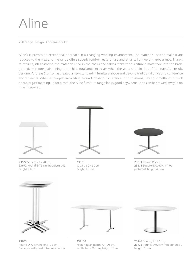# Aline

## 230 range, design: Andreas Störiko

Aline's expresses an exceptional approach in a changing working environment. The materials used to make it are reduced to the max and the range offers superb comfort, ease of use and an airy, lightweight appearance. Thanks to their stylish aesthetic, the materials used in the chairs and tables make the furniture almost fade into the background, therefore maintaining the architectural ambience even when the space contains lots of furniture. As a result, designer Andreas Störiko has created a new standard in furniture above and beyond traditional office and conference environments. Whether people are waiting around, holding conferences or discussions, having something to drink or eat, or just meeting up for a chat: the Aline furniture range looks good anywhere – and can be stowed away in no time if required.



**235/2** Square 70 x 70 cm, **236/2** Round Ø 75 cm (not pictured), height 73 cm



**235/3** Square 60 x 60 cm, height 105 cm



**236/1** Round Ø 75 cm, **235/1** Square 60 x 60 cm (not pictured), height 45 cm



**236/3** Round Ø 70 cm, height 105 cm. Can optionally nest into one another



**237/00** Rectangular, depth 70–90 cm, width 140–200 cm, height 73 cm



**237/6** Round, Ø 140 cm, **237/2** Round, Ø 90 cm (not pictured), height 73 cm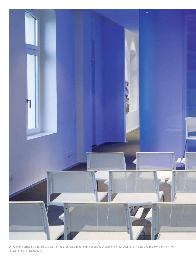

Aline multipurpose chairs' breathable high-tech covers adapt to different body shapes and allow people to sit back and relax while following discussions or presentations.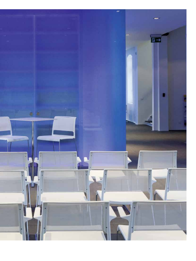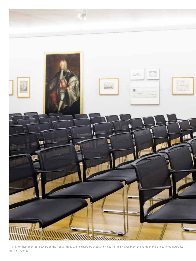

Thanks to their open-pore covers on the front and seat, Aline chairs are acoustically neutral. This makes them the number one choice in multipurpose function rooms.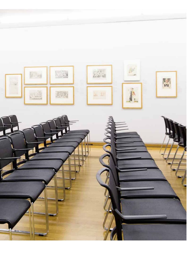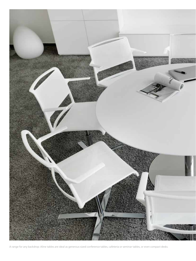

A range for any backdrop: Aline tables are ideal as generous-sized conference tables, cafeteria or seminar tables, or even compact desks.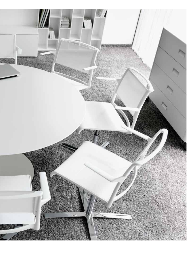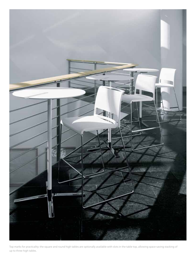

Top marks for practicality: the square and round high tables are optionally available with slots in the table top, allowing space-saving stacking of up to three high tables.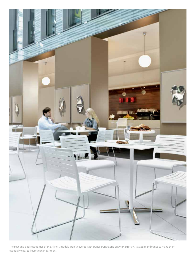

The seat and backrest frames of the Aline-S models aren't covered with transparent fabric but with stretchy, slatted membranes to make them especially easy to keep clean in canteens.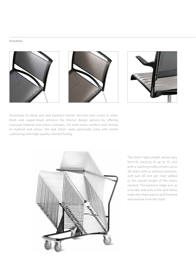## **Functions**



Exclusively for black seat and backrest frames: the two-tone covers in silverblack and copper-black enhance the interior design options by offering nuanced material and colour concepts. For even more comfort and choices of material and colour: the task chairs' seats optionally come with textile cushioning with high-quality stitched fluting.



The chairs' light weight allows easy form-fit stacking of up to 15, and with a stacking trolley of even up to 20 chairs with or without armrests, with just 20 mm per chair added to the overall height of the chairs stacked. The backrest edge acts as a handle, side slots in the seat frame make the chairs easy to pull forward and remove from the stack.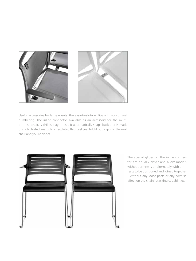

Useful accessories for large events: the easy-to-slot-on clips with row or seat numbering. The inline connector, available as an accessory for the multipurpose chair, is child's play to use. It automatically snaps back and is made of shot-blasted, matt chrome-plated flat steel: just fold it out, clip into the next chair and you're done!



The special glides on the inline connector are equally clever and allow models without armrests or alternately with armrests to be positioned and joined together – without any loose parts or any adverse affect on the chairs' stacking capabilities.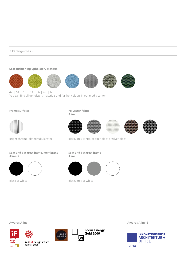## 230 range chairs

#### **Seat cushioning upholstery material**



47 | 54 | 60 | 63 | 66 | 67 | 68 You can find all upholstery materials and further colours in our media center

**Frame surfaces**



Bright chrome-plated tubular steel

**Seat and backrest frame, membrane Aline-S**



Black or white

**Polyester fabric Aline**



Black, grey, white, copper-black or silver-black

#### **Seat and backrest frame Aline**



Black, grey or white

**Awards Aline**



go<mark>lo</mark> 2007

reddot design award winner 2006





**Awards Aline-S**

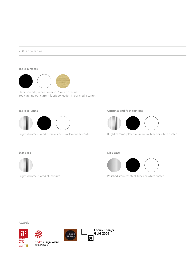### 230 range tables

#### **Table surfaces**



Black or white, veneer versions 1 or 2 on request You can find our current fabric collection in our media center.

#### **Table columns**



Bright chrome-plated tubular steel, black or white coated

**Uprights and foot sections**



Bright chrome-plated aluminium, black or white coated

#### **Star base**



Bright chrome-plated aluminium

**Disc base**



Polished stainless steel, black or white coated

#### **Awards**